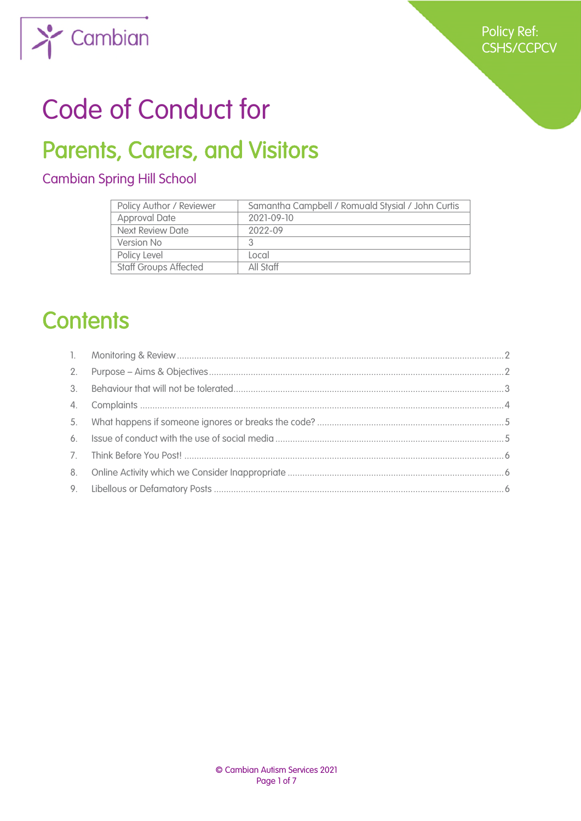

# Code of Conduct for

# Parents, Carers, and Visitors

# Cambian Spring Hill School

| Policy Author / Reviewer     | Samantha Campbell / Romuald Stysial / John Curtis |
|------------------------------|---------------------------------------------------|
| <b>Approval Date</b>         | 2021-09-10                                        |
| Next Review Date             | 2022-09                                           |
| Version No                   |                                                   |
| Policy Level                 | Local                                             |
| <b>Staff Groups Affected</b> | All Staff                                         |

# **Contents**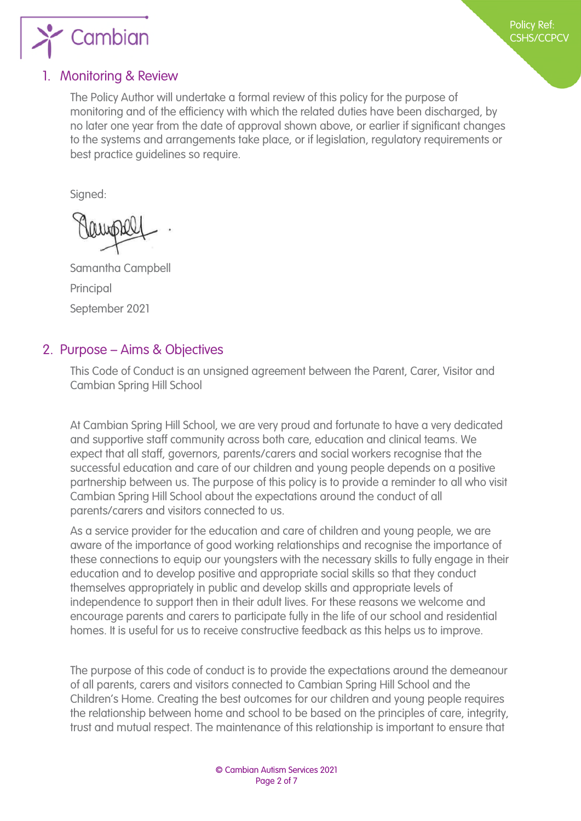

## <span id="page-1-1"></span>1. Monitoring & Review

<span id="page-1-0"></span>The Policy Author will undertake a formal review of this policy for the purpose of monitoring and of the efficiency with which the related duties have been discharged, by no later one year from the date of approval shown above, or earlier if significant changes to the systems and arrangements take place, or if legislation, regulatory requirements or best practice guidelines so require.

Signed:

Samantha Campbell Principal September 2021

#### <span id="page-1-2"></span>2. Purpose – Aims & Objectives

This Code of Conduct is an unsigned agreement between the Parent, Carer, Visitor and Cambian Spring Hill School

At Cambian Spring Hill School, we are very proud and fortunate to have a very dedicated and supportive staff community across both care, education and clinical teams. We expect that all staff, governors, parents/carers and social workers recognise that the successful education and care of our children and young people depends on a positive partnership between us. The purpose of this policy is to provide a reminder to all who visit Cambian Spring Hill School about the expectations around the conduct of all parents/carers and visitors connected to us.

As a service provider for the education and care of children and young people, we are aware of the importance of good working relationships and recognise the importance of these connections to equip our youngsters with the necessary skills to fully engage in their education and to develop positive and appropriate social skills so that they conduct themselves appropriately in public and develop skills and appropriate levels of independence to support then in their adult lives. For these reasons we welcome and encourage parents and carers to participate fully in the life of our school and residential homes. It is useful for us to receive constructive feedback as this helps us to improve.

The purpose of this code of conduct is to provide the expectations around the demeanour of all parents, carers and visitors connected to Cambian Spring Hill School and the Children's Home. Creating the best outcomes for our children and young people requires the relationship between home and school to be based on the principles of care, integrity, trust and mutual respect. The maintenance of this relationship is important to ensure that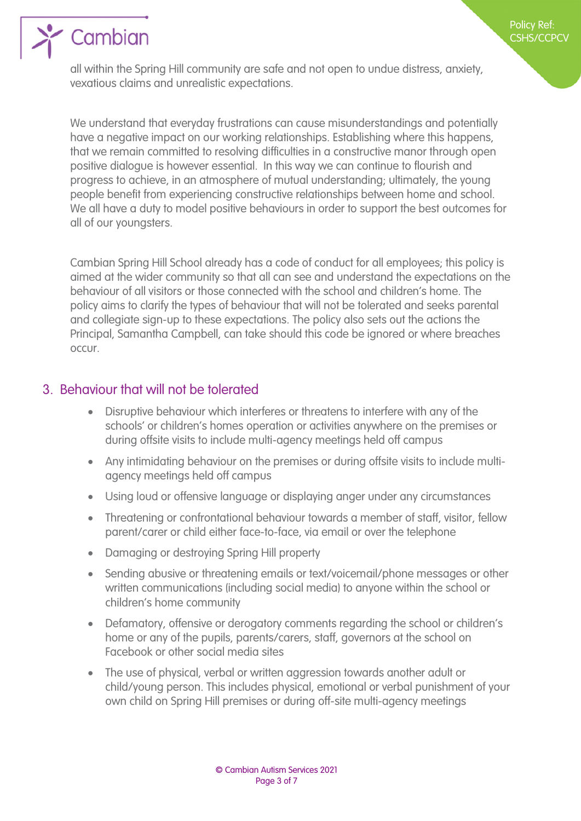

all within the Spring Hill community are safe and not open to undue distress, anxiety, vexatious claims and unrealistic expectations.

We understand that everyday frustrations can cause misunderstandings and potentially have a negative impact on our working relationships. Establishing where this happens, that we remain committed to resolving difficulties in a constructive manor through open positive dialogue is however essential. In this way we can continue to flourish and progress to achieve, in an atmosphere of mutual understanding; ultimately, the young people benefit from experiencing constructive relationships between home and school. We all have a duty to model positive behaviours in order to support the best outcomes for all of our youngsters.

Cambian Spring Hill School already has a code of conduct for all employees; this policy is aimed at the wider community so that all can see and understand the expectations on the behaviour of all visitors or those connected with the school and children's home. The policy aims to clarify the types of behaviour that will not be tolerated and seeks parental and collegiate sign-up to these expectations. The policy also sets out the actions the Principal, Samantha Campbell, can take should this code be ignored or where breaches occur.

## <span id="page-2-1"></span>3. Behaviour that will not be tolerated

- <span id="page-2-0"></span> Disruptive behaviour which interferes or threatens to interfere with any of the schools' or children's homes operation or activities anywhere on the premises or during offsite visits to include multi-agency meetings held off campus
- Any intimidating behaviour on the premises or during offsite visits to include multiagency meetings held off campus
- Using loud or offensive language or displaying anger under any circumstances
- Threatening or confrontational behaviour towards a member of staff, visitor, fellow parent/carer or child either face-to-face, via email or over the telephone
- Damaging or destroying Spring Hill property
- Sending abusive or threatening emails or text/voicemail/phone messages or other written communications (including social media) to anyone within the school or children's home community
- Defamatory, offensive or derogatory comments regarding the school or children's home or any of the pupils, parents/carers, staff, governors at the school on Facebook or other social media sites
- The use of physical, verbal or written aggression towards another adult or child/young person. This includes physical, emotional or verbal punishment of your own child on Spring Hill premises or during off-site multi-agency meetings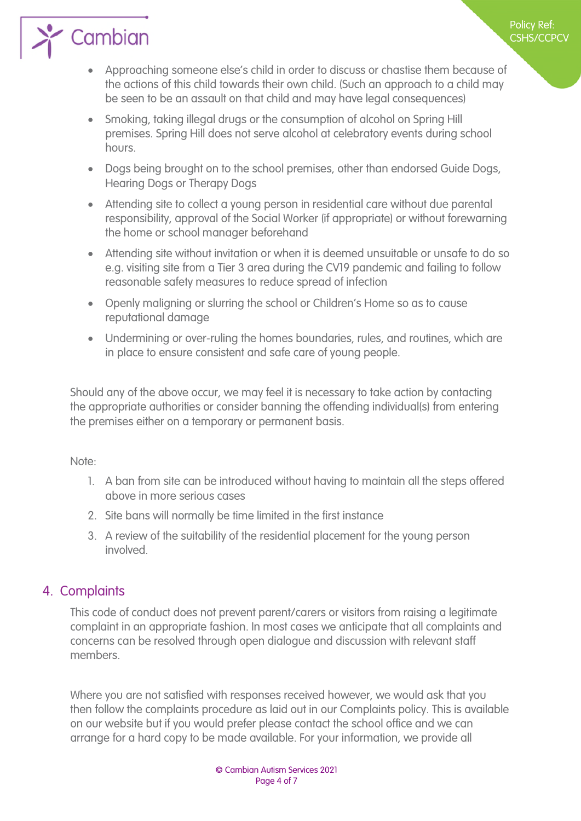Cambian

 Approaching someone else's child in order to discuss or chastise them because of the actions of this child towards their own child. (Such an approach to a child may be seen to be an assault on that child and may have legal consequences)

Policy Ref: CSHS/CCPCV

- Smoking, taking illegal drugs or the consumption of alcohol on Spring Hill premises. Spring Hill does not serve alcohol at celebratory events during school hours.
- Dogs being brought on to the school premises, other than endorsed Guide Dogs, Hearing Dogs or Therapy Dogs
- Attending site to collect a young person in residential care without due parental responsibility, approval of the Social Worker (if appropriate) or without forewarning the home or school manager beforehand
- Attending site without invitation or when it is deemed unsuitable or unsafe to do so e.g. visiting site from a Tier 3 area during the CV19 pandemic and failing to follow reasonable safety measures to reduce spread of infection
- Openly maligning or slurring the school or Children's Home so as to cause reputational damage
- Undermining or over-ruling the homes boundaries, rules, and routines, which are in place to ensure consistent and safe care of young people.

Should any of the above occur, we may feel it is necessary to take action by contacting the appropriate authorities or consider banning the offending individual(s) from entering the premises either on a temporary or permanent basis.

Note:

- 1. A ban from site can be introduced without having to maintain all the steps offered above in more serious cases
- 2. Site bans will normally be time limited in the first instance
- 3. A review of the suitability of the residential placement for the young person involved.

# <span id="page-3-1"></span>4. Complaints

<span id="page-3-0"></span>This code of conduct does not prevent parent/carers or visitors from raising a legitimate complaint in an appropriate fashion. In most cases we anticipate that all complaints and concerns can be resolved through open dialogue and discussion with relevant staff members.

Where you are not satisfied with responses received however, we would ask that you then follow the complaints procedure as laid out in our Complaints policy. This is available on our website but if you would prefer please contact the school office and we can arrange for a hard copy to be made available. For your information, we provide all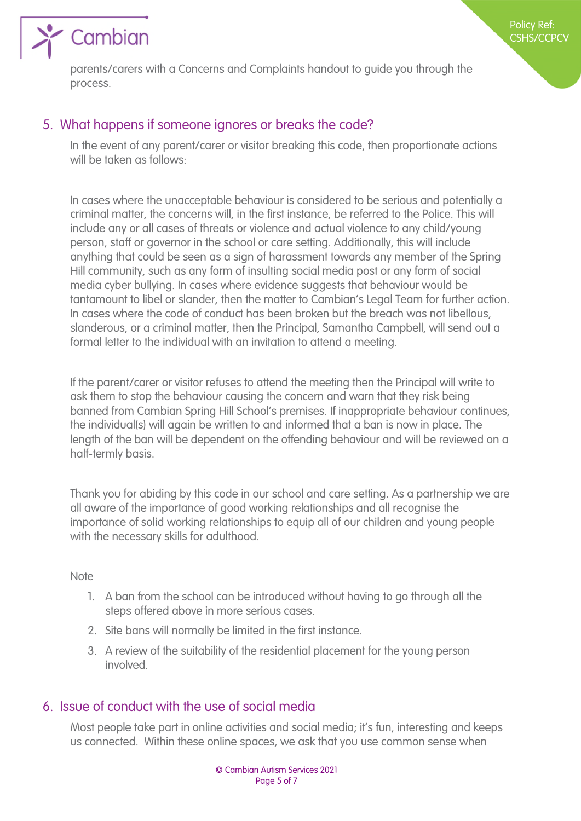

parents/carers with a Concerns and Complaints handout to guide you through the process.

# <span id="page-4-1"></span>5. What happens if someone ignores or breaks the code?

<span id="page-4-0"></span>In the event of any parent/carer or visitor breaking this code, then proportionate actions will be taken as follows:

In cases where the unacceptable behaviour is considered to be serious and potentially a criminal matter, the concerns will, in the first instance, be referred to the Police. This will include any or all cases of threats or violence and actual violence to any child/young person, staff or governor in the school or care setting. Additionally, this will include anything that could be seen as a sign of harassment towards any member of the Spring Hill community, such as any form of insulting social media post or any form of social media cyber bullying. In cases where evidence suggests that behaviour would be tantamount to libel or slander, then the matter to Cambian's Legal Team for further action. In cases where the code of conduct has been broken but the breach was not libellous, slanderous, or a criminal matter, then the Principal, Samantha Campbell, will send out a formal letter to the individual with an invitation to attend a meeting.

If the parent/carer or visitor refuses to attend the meeting then the Principal will write to ask them to stop the behaviour causing the concern and warn that they risk being banned from Cambian Spring Hill School's premises. If inappropriate behaviour continues, the individual(s) will again be written to and informed that a ban is now in place. The length of the ban will be dependent on the offending behaviour and will be reviewed on a half-termly basis.

Thank you for abiding by this code in our school and care setting. As a partnership we are all aware of the importance of good working relationships and all recognise the importance of solid working relationships to equip all of our children and young people with the necessary skills for adulthood.

#### **Note**

- 1. A ban from the school can be introduced without having to go through all the steps offered above in more serious cases.
- 2. Site bans will normally be limited in the first instance.
- 3. A review of the suitability of the residential placement for the young person involved.

# <span id="page-4-2"></span>6. Issue of conduct with the use of social media

Most people take part in online activities and social media; it's fun, interesting and keeps us connected. Within these online spaces, we ask that you use common sense when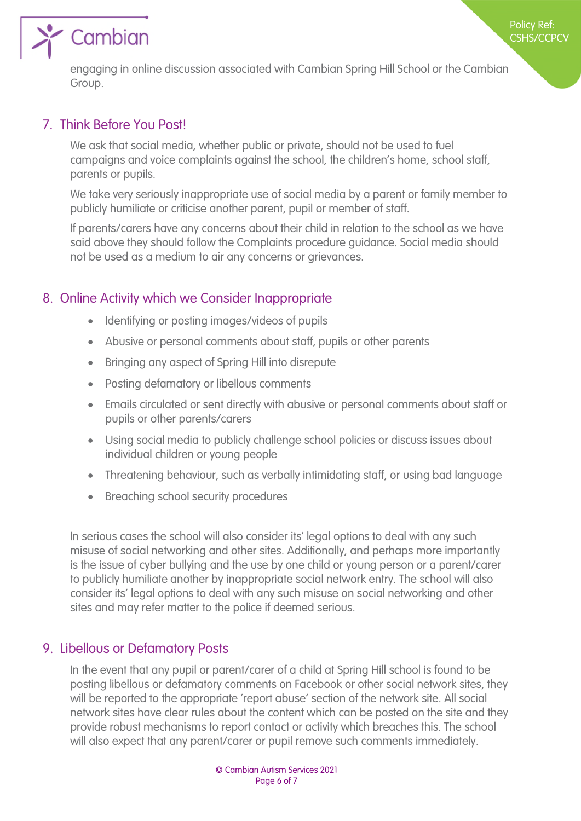

Policy Ref:

engaging in online discussion associated with Cambian Spring Hill School or the Cambian Group.

# <span id="page-5-0"></span>7. Think Before You Post!

We ask that social media, whether public or private, should not be used to fuel campaigns and voice complaints against the school, the children's home, school staff, parents or pupils.

We take very seriously inappropriate use of social media by a parent or family member to publicly humiliate or criticise another parent, pupil or member of staff.

If parents/carers have any concerns about their child in relation to the school as we have said above they should follow the Complaints procedure guidance. Social media should not be used as a medium to air any concerns or grievances.

## <span id="page-5-1"></span>8. Online Activity which we Consider Inappropriate

- Identifying or posting images/videos of pupils
- Abusive or personal comments about staff, pupils or other parents
- Bringing any aspect of Spring Hill into disrepute
- Posting defamatory or libellous comments
- Emails circulated or sent directly with abusive or personal comments about staff or pupils or other parents/carers
- Using social media to publicly challenge school policies or discuss issues about individual children or young people
- Threatening behaviour, such as verbally intimidating staff, or using bad language
- Breaching school security procedures

In serious cases the school will also consider its' legal options to deal with any such misuse of social networking and other sites. Additionally, and perhaps more importantly is the issue of cyber bullying and the use by one child or young person or a parent/carer to publicly humiliate another by inappropriate social network entry. The school will also consider its' legal options to deal with any such misuse on social networking and other sites and may refer matter to the police if deemed serious.

## <span id="page-5-2"></span>9. Libellous or Defamatory Posts

In the event that any pupil or parent/carer of a child at Spring Hill school is found to be posting libellous or defamatory comments on Facebook or other social network sites, they will be reported to the appropriate 'report abuse' section of the network site. All social network sites have clear rules about the content which can be posted on the site and they provide robust mechanisms to report contact or activity which breaches this. The school will also expect that any parent/carer or pupil remove such comments immediately.